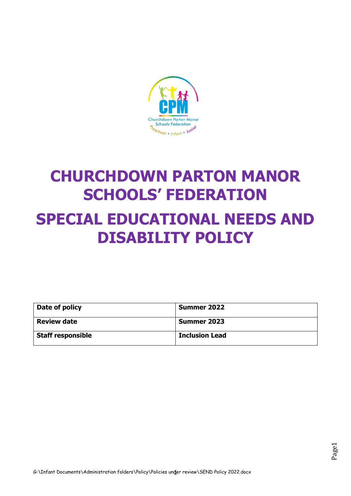

# **CHURCHDOWN PARTON MANOR SCHOOLS' FEDERATION SPECIAL EDUCATIONAL NEEDS AND DISABILITY POLICY**

| Date of policy           | <b>Summer 2022</b>    |
|--------------------------|-----------------------|
| <b>Review date</b>       | <b>Summer 2023</b>    |
| <b>Staff responsible</b> | <b>Inclusion Lead</b> |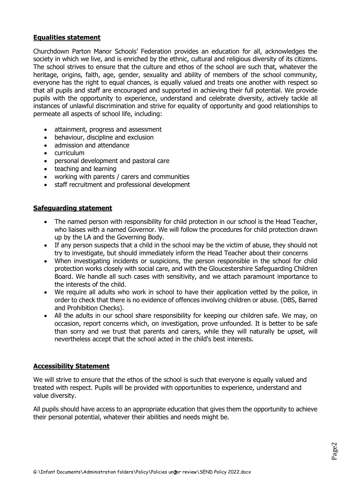#### **Equalities statement**

Churchdown Parton Manor Schools' Federation provides an education for all, acknowledges the society in which we live, and is enriched by the ethnic, cultural and religious diversity of its citizens. The school strives to ensure that the culture and ethos of the school are such that, whatever the heritage, origins, faith, age, gender, sexuality and ability of members of the school community, everyone has the right to equal chances, is equally valued and treats one another with respect so that all pupils and staff are encouraged and supported in achieving their full potential. We provide pupils with the opportunity to experience, understand and celebrate diversity, actively tackle all instances of unlawful discrimination and strive for equality of opportunity and good relationships to permeate all aspects of school life, including:

- attainment, progress and assessment
- behaviour, discipline and exclusion
- admission and attendance
- curriculum
- personal development and pastoral care
- teaching and learning
- working with parents / carers and communities
- staff recruitment and professional development

#### **Safeguarding statement**

- The named person with responsibility for child protection in our school is the Head Teacher, who liaises with a named Governor. We will follow the procedures for child protection drawn up by the LA and the Governing Body.
- If any person suspects that a child in the school may be the victim of abuse, they should not try to investigate, but should immediately inform the Head Teacher about their concerns
- When investigating incidents or suspicions, the person responsible in the school for child protection works closely with social care, and with the Gloucestershire Safeguarding Children Board. We handle all such cases with sensitivity, and we attach paramount importance to the interests of the child.
- We require all adults who work in school to have their application vetted by the police, in order to check that there is no evidence of offences involving children or abuse. (DBS, Barred and Prohibition Checks).
- All the adults in our school share responsibility for keeping our children safe. We may, on occasion, report concerns which, on investigation, prove unfounded. It is better to be safe than sorry and we trust that parents and carers, while they will naturally be upset, will nevertheless accept that the school acted in the child's best interests.

#### **Accessibility Statement**

We will strive to ensure that the ethos of the school is such that everyone is equally valued and treated with respect. Pupils will be provided with opportunities to experience, understand and value diversity.

All pupils should have access to an appropriate education that gives them the opportunity to achieve their personal potential, whatever their abilities and needs might be.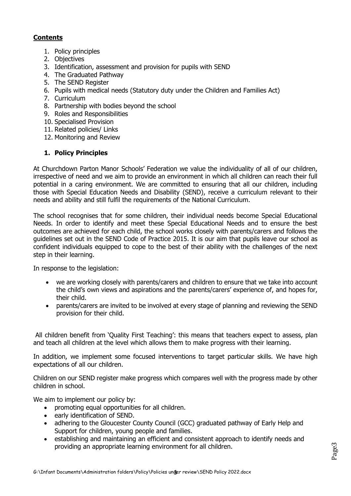## **Contents**

- 1. Policy principles
- 2. Objectives
- 3. Identification, assessment and provision for pupils with SEND
- 4. The Graduated Pathway
- 5. The SEND Register
- 6. Pupils with medical needs (Statutory duty under the Children and Families Act)
- 7. Curriculum
- 8. Partnership with bodies beyond the school
- 9. Roles and Responsibilities
- 10. Specialised Provision
- 11. Related policies/ Links
- 12. Monitoring and Review

### **1. Policy Principles**

At Churchdown Parton Manor Schools' Federation we value the individuality of all of our children, irrespective of need and we aim to provide an environment in which all children can reach their full potential in a caring environment. We are committed to ensuring that all our children, including those with Special Education Needs and Disability (SEND), receive a curriculum relevant to their needs and ability and still fulfil the requirements of the National Curriculum.

The school recognises that for some children, their individual needs become Special Educational Needs. In order to identify and meet these Special Educational Needs and to ensure the best outcomes are achieved for each child, the school works closely with parents/carers and follows the guidelines set out in the SEND Code of Practice 2015. It is our aim that pupils leave our school as confident individuals equipped to cope to the best of their ability with the challenges of the next step in their learning.

In response to the legislation:

- we are working closely with parents/carers and children to ensure that we take into account the child's own views and aspirations and the parents/carers' experience of, and hopes for, their child.
- parents/carers are invited to be involved at every stage of planning and reviewing the SEND provision for their child.

All children benefit from 'Quality First Teaching': this means that teachers expect to assess, plan and teach all children at the level which allows them to make progress with their learning.

In addition, we implement some focused interventions to target particular skills. We have high expectations of all our children.

Children on our SEND register make progress which compares well with the progress made by other children in school.

We aim to implement our policy by:

- promoting equal opportunities for all children.
- early identification of SEND.
- adhering to the Gloucester County Council (GCC) graduated pathway of Early Help and Support for children, young people and families.
- establishing and maintaining an efficient and consistent approach to identify needs and providing an appropriate learning environment for all children.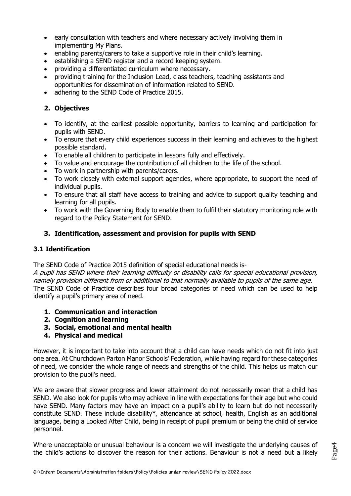- early consultation with teachers and where necessary actively involving them in implementing My Plans.
- enabling parents/carers to take a supportive role in their child's learning.
- establishing a SEND register and a record keeping system.
- providing a differentiated curriculum where necessary.
- providing training for the Inclusion Lead, class teachers, teaching assistants and opportunities for dissemination of information related to SEND.
- adhering to the SEND Code of Practice 2015.

# **2. Objectives**

- To identify, at the earliest possible opportunity, barriers to learning and participation for pupils with SEND.
- To ensure that every child experiences success in their learning and achieves to the highest possible standard.
- To enable all children to participate in lessons fully and effectively.
- To value and encourage the contribution of all children to the life of the school.
- To work in partnership with parents/carers.
- To work closely with external support agencies, where appropriate, to support the need of individual pupils.
- To ensure that all staff have access to training and advice to support quality teaching and learning for all pupils.
- To work with the Governing Body to enable them to fulfil their statutory monitoring role with regard to the Policy Statement for SEND.

### **3. Identification, assessment and provision for pupils with SEND**

### **3.1 Identification**

The SEND Code of Practice 2015 definition of special educational needs is-

A pupil has SEND where their learning difficulty or disability calls for special educational provision, namely provision different from or additional to that normally available to pupils of the same age. The SEND Code of Practice describes four broad categories of need which can be used to help identify a pupil's primary area of need.

- **1. Communication and interaction**
- **2. Cognition and learning**
- **3. Social, emotional and mental health**
- **4. Physical and medical**

However, it is important to take into account that a child can have needs which do not fit into just one area. At Churchdown Parton Manor Schools' Federation, while having regard for these categories of need, we consider the whole range of needs and strengths of the child. This helps us match our provision to the pupil's need.

We are aware that slower progress and lower attainment do not necessarily mean that a child has SEND. We also look for pupils who may achieve in line with expectations for their age but who could have SEND. Many factors may have an impact on a pupil's ability to learn but do not necessarily constitute SEND. These include disability\*, attendance at school, health, English as an additional language, being a Looked After Child, being in receipt of pupil premium or being the child of service personnel.

Where unacceptable or unusual behaviour is a concern we will investigate the underlying causes of the child's actions to discover the reason for their actions. Behaviour is not a need but a likely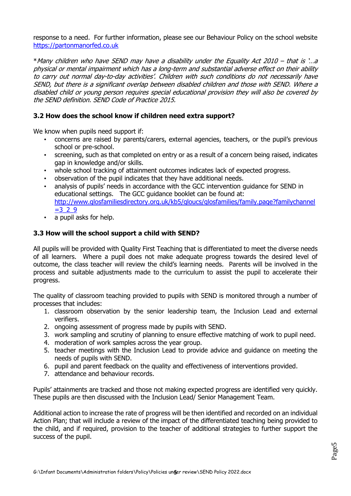response to a need. For further information, please see our Behaviour Policy on the school website [https://partonmanorfed.co.uk](https://partonmanorfed.co.uk/)

\*Many children who have SEND may have a disability under the Equality Act 2010 – that is '…a physical or mental impairment which has a long-term and substantial adverse effect on their ability to carry out normal day-to-day activities'. Children with such conditions do not necessarily have SEND, but there is a significant overlap between disabled children and those with SEND. Where a disabled child or young person requires special educational provision they will also be covered by the SEND definition. SEND Code of Practice 2015.

## **3.2 How does the school know if children need extra support?**

We know when pupils need support if:

- concerns are raised by parents/carers, external agencies, teachers, or the pupil's previous school or pre-school.
- screening, such as that completed on entry or as a result of a concern being raised, indicates gap in knowledge and/or skills.
- whole school tracking of attainment outcomes indicates lack of expected progress.
- observation of the pupil indicates that they have additional needs.
- analysis of pupils' needs in accordance with the GCC intervention guidance for SEND in educational settings. The GCC guidance booklet can be found at: [http://www.glosfamiliesdirectory.org.uk/kb5/gloucs/glosfamilies/family.page?familychannel](http://www.glosfamiliesdirectory.org.uk/kb5/gloucs/glosfamilies/family.page?familychannel=3_2_9)  $=329$
- a pupil asks for help.

# **3.3 How will the school support a child with SEND?**

All pupils will be provided with Quality First Teaching that is differentiated to meet the diverse needs of all learners. Where a pupil does not make adequate progress towards the desired level of outcome, the class teacher will review the child's learning needs. Parents will be involved in the process and suitable adjustments made to the curriculum to assist the pupil to accelerate their progress.

The quality of classroom teaching provided to pupils with SEND is monitored through a number of processes that includes:

- 1. classroom observation by the senior leadership team, the Inclusion Lead and external verifiers.
- 2. ongoing assessment of progress made by pupils with SEND.
- 3. work sampling and scrutiny of planning to ensure effective matching of work to pupil need.
- 4. moderation of work samples across the year group.
- 5. teacher meetings with the Inclusion Lead to provide advice and guidance on meeting the needs of pupils with SEND.
- 6. pupil and parent feedback on the quality and effectiveness of interventions provided.
- 7. attendance and behaviour records.

Pupils' attainments are tracked and those not making expected progress are identified very quickly. These pupils are then discussed with the Inclusion Lead/ Senior Management Team.

Additional action to increase the rate of progress will be then identified and recorded on an individual Action Plan; that will include a review of the impact of the differentiated teaching being provided to the child, and if required, provision to the teacher of additional strategies to further support the success of the pupil.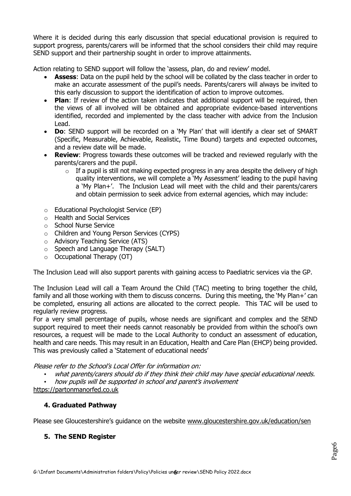Where it is decided during this early discussion that special educational provision is required to support progress, parents/carers will be informed that the school considers their child may require SEND support and their partnership sought in order to improve attainments.

Action relating to SEND support will follow the 'assess, plan, do and review' model.

- **Assess**: Data on the pupil held by the school will be collated by the class teacher in order to make an accurate assessment of the pupil's needs. Parents/carers will always be invited to this early discussion to support the identification of action to improve outcomes.
- **Plan**: If review of the action taken indicates that additional support will be required, then the views of all involved will be obtained and appropriate evidence-based interventions identified, recorded and implemented by the class teacher with advice from the Inclusion Lead.
- **Do**: SEND support will be recorded on a 'My Plan' that will identify a clear set of SMART (Specific, Measurable, Achievable, Realistic, Time Bound) targets and expected outcomes, and a review date will be made.
- **Review**: Progress towards these outcomes will be tracked and reviewed regularly with the parents/carers and the pupil.
	- $\circ$  If a pupil is still not making expected progress in any area despite the delivery of high quality interventions, we will complete a 'My Assessment' leading to the pupil having a 'My Plan+'. The Inclusion Lead will meet with the child and their parents/carers and obtain permission to seek advice from external agencies, which may include:
- o Educational Psychologist Service (EP)
- o Health and Social Services
- o School Nurse Service
- o Children and Young Person Services (CYPS)
- o Advisory Teaching Service (ATS)
- $\circ$  Speech and Language Therapy (SALT)
- o Occupational Therapy (OT)

The Inclusion Lead will also support parents with gaining access to Paediatric services via the GP.

The Inclusion Lead will call a Team Around the Child (TAC) meeting to bring together the child, family and all those working with them to discuss concerns. During this meeting, the 'My Plan+' can be completed, ensuring all actions are allocated to the correct people. This TAC will be used to regularly review progress.

For a very small percentage of pupils, whose needs are significant and complex and the SEND support required to meet their needs cannot reasonably be provided from within the school's own resources, a request will be made to the Local Authority to conduct an assessment of education, health and care needs. This may result in an Education, Health and Care Plan (EHCP) being provided. This was previously called a 'Statement of educational needs'

Please refer to the School's Local Offer for information on:

- what parents/carers should do if they think their child may have special educational needs.
- how pupils will be supported in school and parent's involvement

[https://partonmanorfed.co.uk](https://partonmanorfed.co.uk/)

### **4. Graduated Pathway**

Please see Gloucestershire's guidance on the website [www.gloucestershire.gov.uk/education/sen](http://www.gloucestershire.gov.uk/education/sen)

### **5. The SEND Register**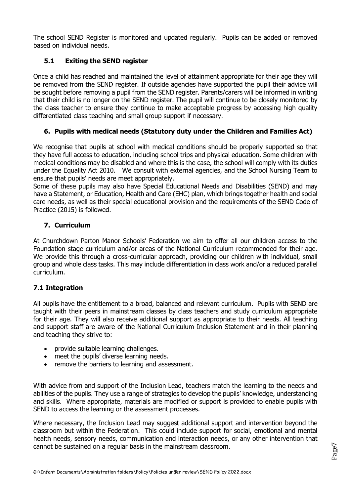The school SEND Register is monitored and updated regularly. Pupils can be added or removed based on individual needs.

# **5.1 Exiting the SEND register**

Once a child has reached and maintained the level of attainment appropriate for their age they will be removed from the SEND register. If outside agencies have supported the pupil their advice will be sought before removing a pupil from the SEND register. Parents/carers will be informed in writing that their child is no longer on the SEND register. The pupil will continue to be closely monitored by the class teacher to ensure they continue to make acceptable progress by accessing high quality differentiated class teaching and small group support if necessary.

# **6. Pupils with medical needs (Statutory duty under the Children and Families Act)**

We recognise that pupils at school with medical conditions should be properly supported so that they have full access to education, including school trips and physical education. Some children with medical conditions may be disabled and where this is the case, the school will comply with its duties under the Equality Act 2010. We consult with external agencies, and the School Nursing Team to ensure that pupils' needs are meet appropriately.

Some of these pupils may also have Special Educational Needs and Disabilities (SEND) and may have a Statement, or Education, Health and Care (EHC) plan, which brings together health and social care needs, as well as their special educational provision and the requirements of the SEND Code of Practice (2015) is followed.

### **7. Curriculum**

At Churchdown Parton Manor Schools' Federation we aim to offer all our children access to the Foundation stage curriculum and/or areas of the National Curriculum recommended for their age. We provide this through a cross-curricular approach, providing our children with individual, small group and whole class tasks. This may include differentiation in class work and/or a reduced parallel curriculum.

### **7.1 Integration**

All pupils have the entitlement to a broad, balanced and relevant curriculum. Pupils with SEND are taught with their peers in mainstream classes by class teachers and study curriculum appropriate for their age. They will also receive additional support as appropriate to their needs. All teaching and support staff are aware of the National Curriculum Inclusion Statement and in their planning and teaching they strive to:

- provide suitable learning challenges.
- meet the pupils' diverse learning needs.
- remove the barriers to learning and assessment.

With advice from and support of the Inclusion Lead, teachers match the learning to the needs and abilities of the pupils. They use a range of strategies to develop the pupils' knowledge, understanding and skills. Where appropriate, materials are modified or support is provided to enable pupils with SEND to access the learning or the assessment processes.

Where necessary, the Inclusion Lead may suggest additional support and intervention beyond the classroom but within the Federation. This could include support for social, emotional and mental health needs, sensory needs, communication and interaction needs, or any other intervention that cannot be sustained on a regular basis in the mainstream classroom.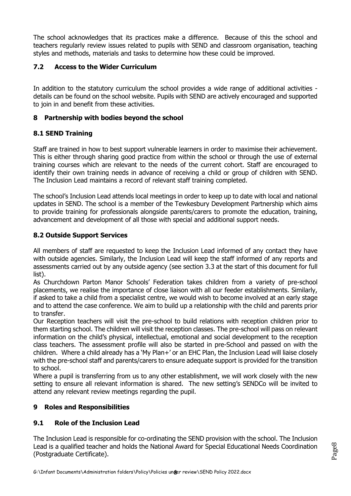The school acknowledges that its practices make a difference. Because of this the school and teachers regularly review issues related to pupils with SEND and classroom organisation, teaching styles and methods, materials and tasks to determine how these could be improved.

# **7.2 Access to the Wider Curriculum**

In addition to the statutory curriculum the school provides a wide range of additional activities details can be found on the school website. Pupils with SEND are actively encouraged and supported to join in and benefit from these activities.

### **8 Partnership with bodies beyond the school**

### **8.1 SEND Training**

Staff are trained in how to best support vulnerable learners in order to maximise their achievement. This is either through sharing good practice from within the school or through the use of external training courses which are relevant to the needs of the current cohort. Staff are encouraged to identify their own training needs in advance of receiving a child or group of children with SEND. The Inclusion Lead maintains a record of relevant staff training completed.

The school's Inclusion Lead attends local meetings in order to keep up to date with local and national updates in SEND. The school is a member of the Tewkesbury Development Partnership which aims to provide training for professionals alongside parents/carers to promote the education, training, advancement and development of all those with special and additional support needs.

### **8.2 Outside Support Services**

All members of staff are requested to keep the Inclusion Lead informed of any contact they have with outside agencies. Similarly, the Inclusion Lead will keep the staff informed of any reports and assessments carried out by any outside agency (see section 3.3 at the start of this document for full list).

As Churchdown Parton Manor Schools' Federation takes children from a variety of pre-school placements, we realise the importance of close liaison with all our feeder establishments. Similarly, if asked to take a child from a specialist centre, we would wish to become involved at an early stage and to attend the case conference. We aim to build up a relationship with the child and parents prior to transfer.

Our Reception teachers will visit the pre-school to build relations with reception children prior to them starting school. The children will visit the reception classes. The pre-school will pass on relevant information on the child's physical, intellectual, emotional and social development to the reception class teachers. The assessment profile will also be started in pre-School and passed on with the children. Where a child already has a 'My Plan+' or an EHC Plan, the Inclusion Lead will liaise closely with the pre-school staff and parents/carers to ensure adequate support is provided for the transition to school.

Where a pupil is transferring from us to any other establishment, we will work closely with the new setting to ensure all relevant information is shared. The new setting's SENDCo will be invited to attend any relevant review meetings regarding the pupil.

# **9 Roles and Responsibilities**

# **9.1 Role of the Inclusion Lead**

The Inclusion Lead is responsible for co-ordinating the SEND provision with the school. The Inclusion Lead is a qualified teacher and holds the National Award for Special Educational Needs Coordination (Postgraduate Certificate).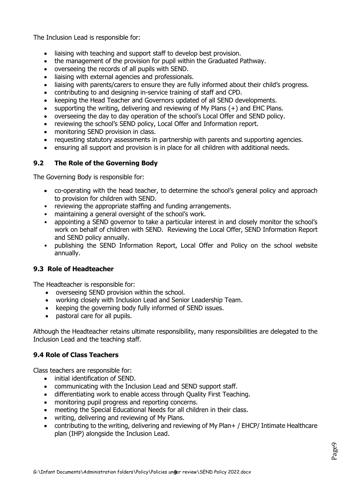The Inclusion Lead is responsible for:

- liaising with teaching and support staff to develop best provision.
- the management of the provision for pupil within the Graduated Pathway.
- overseeing the records of all pupils with SEND.
- liaising with external agencies and professionals.
- liaising with parents/carers to ensure they are fully informed about their child's progress.
- contributing to and designing in-service training of staff and CPD.
- keeping the Head Teacher and Governors updated of all SEND developments.
- supporting the writing, delivering and reviewing of My Plans  $(+)$  and EHC Plans.
- overseeing the day to day operation of the school's Local Offer and SEND policy.
- reviewing the school's SEND policy, Local Offer and Information report.
- monitoring SEND provision in class.
- requesting statutory assessments in partnership with parents and supporting agencies.
- ensuring all support and provision is in place for all children with additional needs.

### **9.2 The Role of the Governing Body**

The Governing Body is responsible for:

- co-operating with the head teacher, to determine the school's general policy and approach to provision for children with SEND.
- reviewing the appropriate staffing and funding arrangements.
- maintaining a general oversight of the school's work.
- appointing a SEND governor to take a particular interest in and closely monitor the school's work on behalf of children with SEND. Reviewing the Local Offer, SEND Information Report and SEND policy annually.
- publishing the SEND Information Report, Local Offer and Policy on the school website annually.

### **9.3 Role of Headteacher**

The Headteacher is responsible for:

- overseeing SEND provision within the school.
- working closely with Inclusion Lead and Senior Leadership Team.
- keeping the governing body fully informed of SEND issues.
- pastoral care for all pupils.

Although the Headteacher retains ultimate responsibility, many responsibilities are delegated to the Inclusion Lead and the teaching staff.

### **9.4 Role of Class Teachers**

Class teachers are responsible for:

- initial identification of SEND.
- communicating with the Inclusion Lead and SEND support staff.
- differentiating work to enable access through Quality First Teaching.
- monitoring pupil progress and reporting concerns.
- meeting the Special Educational Needs for all children in their class.
- writing, delivering and reviewing of My Plans.
- contributing to the writing, delivering and reviewing of My Plan+ / EHCP/ Intimate Healthcare plan (IHP) alongside the Inclusion Lead.